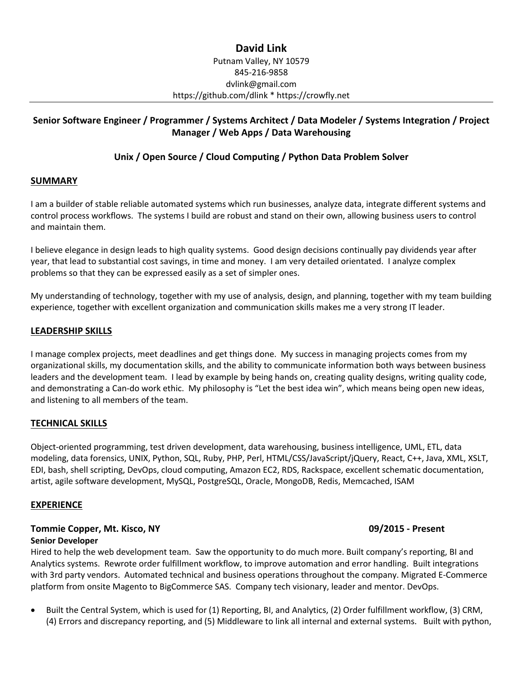# **Senior Software Engineer / Programmer / Systems Architect / Data Modeler / Systems Integration / Project Manager / Web Apps / Data Warehousing**

# **Unix / Open Source / Cloud Computing / Python Data Problem Solver**

## **SUMMARY**

I am a builder of stable reliable automated systems which run businesses, analyze data, integrate different systems and control process workflows. The systems I build are robust and stand on their own, allowing business users to control and maintain them.

I believe elegance in design leads to high quality systems. Good design decisions continually pay dividends year after year, that lead to substantial cost savings, in time and money. I am very detailed orientated. I analyze complex problems so that they can be expressed easily as a set of simpler ones.

My understanding of technology, together with my use of analysis, design, and planning, together with my team building experience, together with excellent organization and communication skills makes me a very strong IT leader.

## **LEADERSHIP SKILLS**

I manage complex projects, meet deadlines and get things done. My success in managing projects comes from my organizational skills, my documentation skills, and the ability to communicate information both ways between business leaders and the development team. I lead by example by being hands on, creating quality designs, writing quality code, and demonstrating a Can-do work ethic. My philosophy is "Let the best idea win", which means being open new ideas, and listening to all members of the team.

## **TECHNICAL SKILLS**

Object-oriented programming, test driven development, data warehousing, business intelligence, UML, ETL, data modeling, data forensics, UNIX, Python, SQL, Ruby, PHP, Perl, HTML/CSS/JavaScript/jQuery, React, C++, Java, XML, XSLT, EDI, bash, shell scripting, DevOps, cloud computing, Amazon EC2, RDS, Rackspace, excellent schematic documentation, artist, agile software development, MySQL, PostgreSQL, Oracle, MongoDB, Redis, Memcached, ISAM

## **EXPERIENCE**

## **Tommie Copper, Mt. Kisco, NY 09/2015 - Present Senior Developer**

Hired to help the web development team. Saw the opportunity to do much more. Built company's reporting, BI and Analytics systems. Rewrote order fulfillment workflow, to improve automation and error handling. Built integrations with 3rd party vendors. Automated technical and business operations throughout the company. Migrated E-Commerce platform from onsite Magento to BigCommerce SAS. Company tech visionary, leader and mentor. DevOps.

• Built the Central System, which is used for (1) Reporting, BI, and Analytics, (2) Order fulfillment workflow, (3) CRM, (4) Errors and discrepancy reporting, and (5) Middleware to link all internal and external systems. Built with python,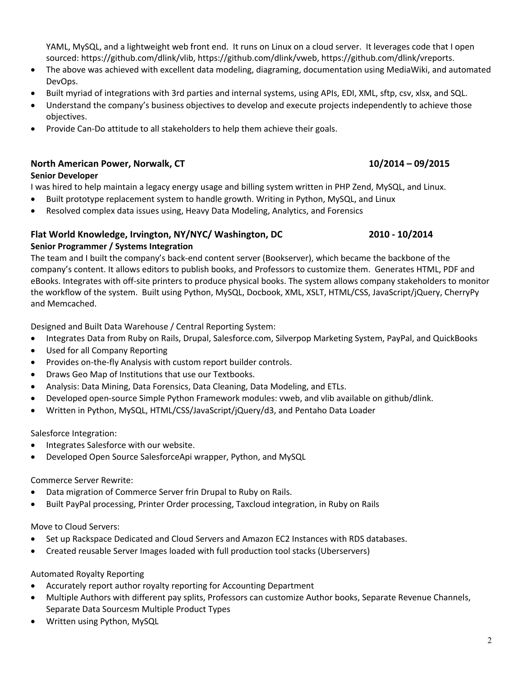YAML, MySQL, and a lightweight web front end. It runs on Linux on a cloud server. It leverages code that I open sourced: https://github.com/dlink/vlib, https://github.com/dlink/vweb, https://github.com/dlink/vreports.

- The above was achieved with excellent data modeling, diagraming, documentation using MediaWiki, and automated DevOps.
- Built myriad of integrations with 3rd parties and internal systems, using APIs, EDI, XML, sftp, csv, xlsx, and SQL.
- Understand the company's business objectives to develop and execute projects independently to achieve those objectives.
- Provide Can-Do attitude to all stakeholders to help them achieve their goals.

# **North American Power, Norwalk, CT 10/2014 – 09/2015**

**Senior Developer**

I was hired to help maintain a legacy energy usage and billing system written in PHP Zend, MySQL, and Linux.

- Built prototype replacement system to handle growth. Writing in Python, MySQL, and Linux
- Resolved complex data issues using, Heavy Data Modeling, Analytics, and Forensics

### **Flat World Knowledge, Irvington, NY/NYC/ Washington, DC 2010 - 10/2014 Senior Programmer / Systems Integration**

The team and I built the company's back-end content server (Bookserver), which became the backbone of the company's content. It allows editors to publish books, and Professors to customize them. Generates HTML, PDF and eBooks. Integrates with off-site printers to produce physical books. The system allows company stakeholders to monitor the workflow of the system. Built using Python, MySQL, Docbook, XML, XSLT, HTML/CSS, JavaScript/jQuery, CherryPy and Memcached.

Designed and Built Data Warehouse / Central Reporting System:

- Integrates Data from Ruby on Rails, Drupal, Salesforce.com, Silverpop Marketing System, PayPal, and QuickBooks
- Used for all Company Reporting
- Provides on-the-fly Analysis with custom report builder controls.
- Draws Geo Map of Institutions that use our Textbooks.
- Analysis: Data Mining, Data Forensics, Data Cleaning, Data Modeling, and ETLs.
- Developed open-source Simple Python Framework modules: vweb, and vlib available on github/dlink.
- Written in Python, MySQL, HTML/CSS/JavaScript/jQuery/d3, and Pentaho Data Loader

# Salesforce Integration:

- Integrates Salesforce with our website.
- Developed Open Source SalesforceApi wrapper, Python, and MySQL

# Commerce Server Rewrite:

- Data migration of Commerce Server frin Drupal to Ruby on Rails.
- Built PayPal processing, Printer Order processing, Taxcloud integration, in Ruby on Rails

# Move to Cloud Servers:

- Set up Rackspace Dedicated and Cloud Servers and Amazon EC2 Instances with RDS databases.
- Created reusable Server Images loaded with full production tool stacks (Uberservers)

# Automated Royalty Reporting

- Accurately report author royalty reporting for Accounting Department
- Multiple Authors with different pay splits, Professors can customize Author books, Separate Revenue Channels, Separate Data Sourcesm Multiple Product Types
- Written using Python, MySQL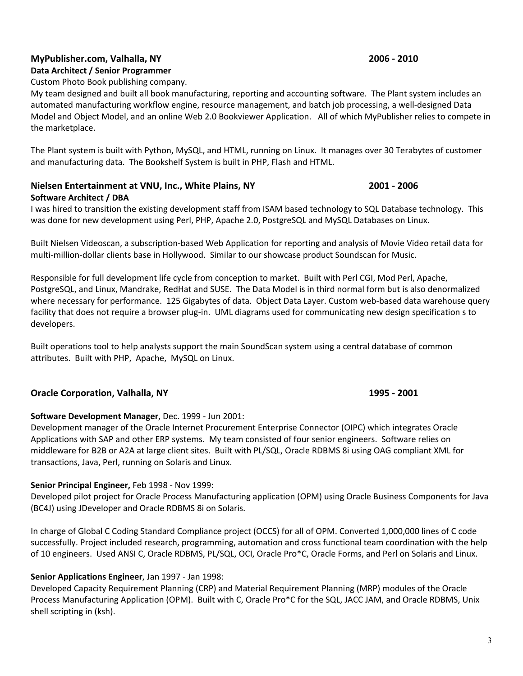# **MyPublisher.com, Valhalla, NY 2006 - 2010**

## **Data Architect / Senior Programmer**

Custom Photo Book publishing company.

My team designed and built all book manufacturing, reporting and accounting software. The Plant system includes an automated manufacturing workflow engine, resource management, and batch job processing, a well-designed Data Model and Object Model, and an online Web 2.0 Bookviewer Application. All of which MyPublisher relies to compete in the marketplace.

The Plant system is built with Python, MySQL, and HTML, running on Linux. It manages over 30 Terabytes of customer and manufacturing data. The Bookshelf System is built in PHP, Flash and HTML.

# **Nielsen Entertainment at VNU, Inc., White Plains, NY 2001 - 2006 Software Architect / DBA**

I was hired to transition the existing development staff from ISAM based technology to SQL Database technology. This was done for new development using Perl, PHP, Apache 2.0, PostgreSQL and MySQL Databases on Linux.

Built Nielsen Videoscan, a subscription-based Web Application for reporting and analysis of Movie Video retail data for multi-million-dollar clients base in Hollywood. Similar to our showcase product Soundscan for Music.

Responsible for full development life cycle from conception to market. Built with Perl CGI, Mod Perl, Apache, PostgreSQL, and Linux, Mandrake, RedHat and SUSE. The Data Model is in third normal form but is also denormalized where necessary for performance. 125 Gigabytes of data. Object Data Layer. Custom web-based data warehouse query facility that does not require a browser plug-in. UML diagrams used for communicating new design specification s to developers.

Built operations tool to help analysts support the main SoundScan system using a central database of common attributes. Built with PHP, Apache, MySQL on Linux.

# **Oracle Corporation, Valhalla, NY 1995 - 2001**

## **Software Development Manager**, Dec. 1999 - Jun 2001:

Development manager of the Oracle Internet Procurement Enterprise Connector (OIPC) which integrates Oracle Applications with SAP and other ERP systems. My team consisted of four senior engineers. Software relies on middleware for B2B or A2A at large client sites. Built with PL/SQL, Oracle RDBMS 8i using OAG compliant XML for transactions, Java, Perl, running on Solaris and Linux.

# **Senior Principal Engineer,** Feb 1998 - Nov 1999:

Developed pilot project for Oracle Process Manufacturing application (OPM) using Oracle Business Components for Java (BC4J) using JDeveloper and Oracle RDBMS 8i on Solaris.

In charge of Global C Coding Standard Compliance project (OCCS) for all of OPM. Converted 1,000,000 lines of C code successfully. Project included research, programming, automation and cross functional team coordination with the help of 10 engineers. Used ANSI C, Oracle RDBMS, PL/SQL, OCI, Oracle Pro\*C, Oracle Forms, and Perl on Solaris and Linux.

# **Senior Applications Engineer**, Jan 1997 - Jan 1998:

Developed Capacity Requirement Planning (CRP) and Material Requirement Planning (MRP) modules of the Oracle Process Manufacturing Application (OPM). Built with C, Oracle Pro\*C for the SQL, JACC JAM, and Oracle RDBMS, Unix shell scripting in (ksh).